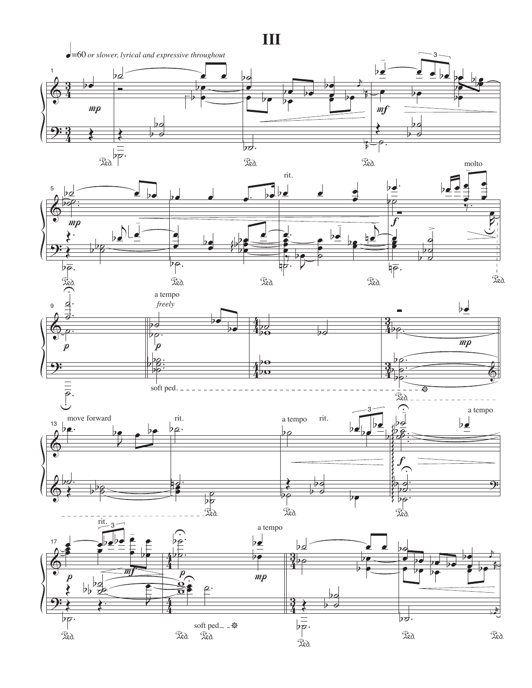